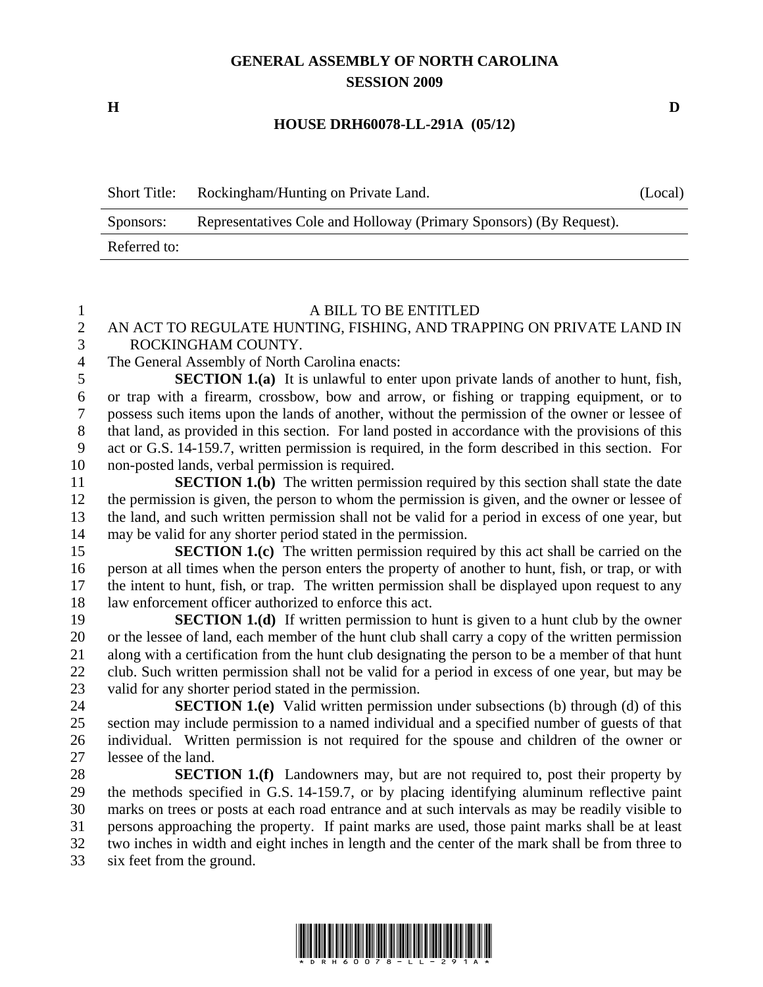# **GENERAL ASSEMBLY OF NORTH CAROLINA SESSION 2009**

**H D** 

#### **HOUSE DRH60078-LL-291A (05/12)**

| <b>Short Title:</b> | Rockingham/Hunting on Private Land.                                | (Local) |
|---------------------|--------------------------------------------------------------------|---------|
| Sponsors:           | Representatives Cole and Holloway (Primary Sponsors) (By Request). |         |
| Referred to:        |                                                                    |         |

#### 1 A BILL TO BE ENTITLED

### 2 AN ACT TO REGULATE HUNTING, FISHING, AND TRAPPING ON PRIVATE LAND IN 3 ROCKINGHAM COUNTY.

4 The General Assembly of North Carolina enacts:

5 **SECTION 1.(a)** It is unlawful to enter upon private lands of another to hunt, fish, 6 or trap with a firearm, crossbow, bow and arrow, or fishing or trapping equipment, or to 7 possess such items upon the lands of another, without the permission of the owner or lessee of 8 that land, as provided in this section. For land posted in accordance with the provisions of this 9 act or G.S. 14-159.7, written permission is required, in the form described in this section. For 10 non-posted lands, verbal permission is required.

11 **SECTION 1.(b)** The written permission required by this section shall state the date 12 the permission is given, the person to whom the permission is given, and the owner or lessee of 13 the land, and such written permission shall not be valid for a period in excess of one year, but 14 may be valid for any shorter period stated in the permission.

15 **SECTION 1.(c)** The written permission required by this act shall be carried on the 16 person at all times when the person enters the property of another to hunt, fish, or trap, or with 17 the intent to hunt, fish, or trap. The written permission shall be displayed upon request to any 18 law enforcement officer authorized to enforce this act.

19 **SECTION 1.(d)** If written permission to hunt is given to a hunt club by the owner 20 or the lessee of land, each member of the hunt club shall carry a copy of the written permission 21 along with a certification from the hunt club designating the person to be a member of that hunt 22 club. Such written permission shall not be valid for a period in excess of one year, but may be 23 valid for any shorter period stated in the permission.

24 **SECTION 1.(e)** Valid written permission under subsections (b) through (d) of this 25 section may include permission to a named individual and a specified number of guests of that 26 individual. Written permission is not required for the spouse and children of the owner or 27 lessee of the land.

28 **SECTION 1.(f)** Landowners may, but are not required to, post their property by 29 the methods specified in G.S. 14-159.7, or by placing identifying aluminum reflective paint 30 marks on trees or posts at each road entrance and at such intervals as may be readily visible to 31 persons approaching the property. If paint marks are used, those paint marks shall be at least 32 two inches in width and eight inches in length and the center of the mark shall be from three to 33 six feet from the ground.